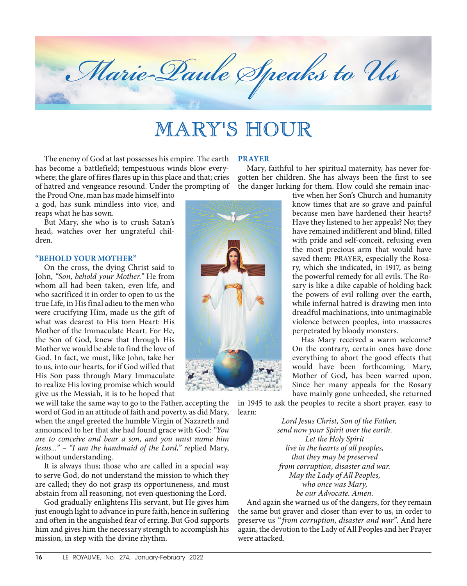

# MARY'S HOUR

The enemy of God at last possesses his empire. The earth has become a battlefield; tempestuous winds blow everywhere; the glare of fires flares up in this place and that; cries of hatred and vengeance resound. Under the prompting of

the Proud One, man has made himself into a god, has sunk mindless into vice, and reaps what he has sown.

But Mary, she who is to crush Satan's head, watches over her ungrateful children.

# **"BEHOLD YOUR MOTHER"**

On the cross, the dying Christ said to John, *"Son, behold your Mother."* He from whom all had been taken, even life, and who sacrificed it in order to open to us the true Life, in His final adieu to the men who were crucifying Him, made us the gift of what was dearest to His torn Heart: His Mother of the Immaculate Heart. For He, the Son of God, knew that through His Mother we would be able to find the love of God. In fact, we must, like John, take her to us, into our hearts, for if God willed that His Son pass through Mary Immaculate to realize His loving promise which would give us the Messiah, it is to be hoped that

we will take the same way to go to the Father, accepting the word of God in an attitude of faith and poverty, as did Mary, when the angel greeted the humble Virgin of Nazareth and announced to her that she had found grace with God: *"You are to conceive and bear a son, and you must name him Jesus..." – "I am the handmaid of the Lord,"* replied Mary, without understanding.

It is always thus; those who are called in a special way to serve God, do not understand the mission to which they are called; they do not grasp its opportuneness, and must abstain from all reasoning, not even questioning the Lord.

God gradually enlightens His servant, but He gives him just enough light to advance in pure faith, hence in suffering and often in the anguished fear of erring. But God supports him and gives him the necessary strength to accomplish his mission, in step with the divine rhythm.

## **PRAYER**

Mary, faithful to her spiritual maternity, has never forgotten her children. She has always been the first to see the danger lurking for them. How could she remain inac-

tive when her Son's Church and humanity know times that are so grave and painful because men have hardened their hearts? Have they listened to her appeals? No; they have remained indifferent and blind, filled with pride and self-conceit, refusing even the most precious arm that would have saved them: PRAYER, especially the Rosary, which she indicated, in 1917, as being the powerful remedy for all evils. The Rosary is like a dike capable of holding back the powers of evil rolling over the earth, while infernal hatred is drawing men into dreadful machinations, into unimaginable violence between peoples, into massacres perpetrated by bloody monsters.

Has Mary received a warm welcome? On the contrary, certain ones have done everything to abort the good effects that would have been forthcoming. Mary, Mother of God, has been warred upon. Since her many appeals for the Rosary have mainly gone unheeded, she returned

in 1945 to ask the peoples to recite a short prayer, easy to learn:

> *Lord Jesus Christ, Son of the Father, send now your Spirit over the earth. Let the Holy Spirit live in the hearts of all peoples, that they may be preserved from corruption, disaster and war. May the Lady of All Peoples, who once was Mary, be our Advocate. Amen.*

And again she warned us of the dangers, for they remain the same but graver and closer than ever to us, in order to preserve us *" from corruption, disaster and war"*. And here again, the devotion to the Lady of All Peoples and her Prayer were attacked.